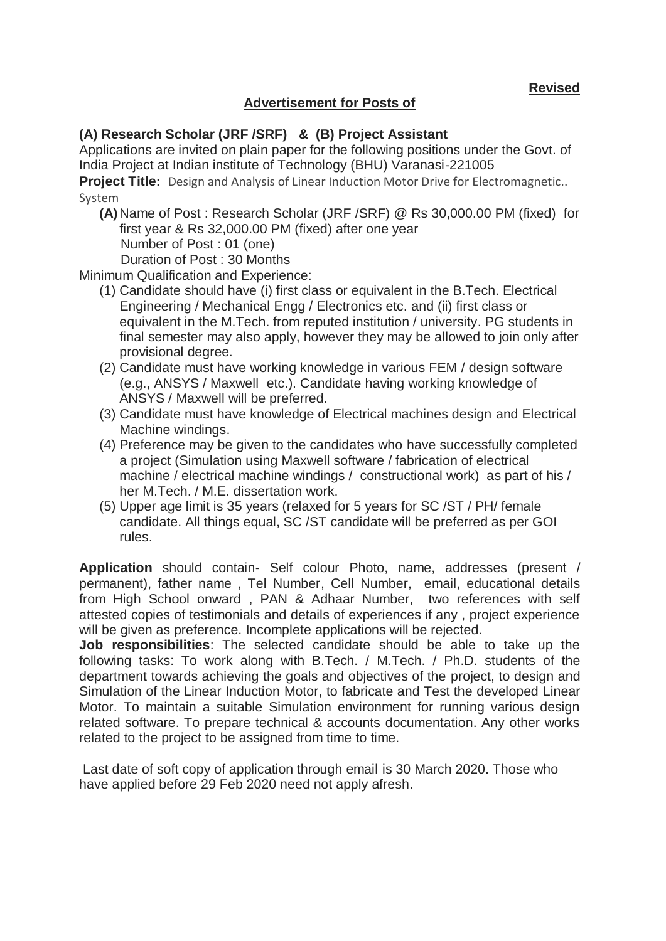**Revised** 

## **Advertisement for Posts of**

## **(A) Research Scholar (JRF /SRF) & (B) Project Assistant**

Applications are invited on plain paper for the following positions under the Govt. of India Project at Indian institute of Technology (BHU) Varanasi-221005

**Project Title:** Design and Analysis of Linear Induction Motor Drive for Electromagnetic.. System

**(A)**Name of Post : Research Scholar (JRF /SRF) @ Rs 30,000.00 PM (fixed) for first year & Rs 32,000.00 PM (fixed) after one year Number of Post : 01 (one) Duration of Post : 30 Months

Minimum Qualification and Experience:

- (1) Candidate should have (i) first class or equivalent in the B.Tech. Electrical Engineering / Mechanical Engg / Electronics etc. and (ii) first class or equivalent in the M.Tech. from reputed institution / university. PG students in final semester may also apply, however they may be allowed to join only after provisional degree.
- (2) Candidate must have working knowledge in various FEM / design software (e.g., ANSYS / Maxwell etc.). Candidate having working knowledge of ANSYS / Maxwell will be preferred.
- (3) Candidate must have knowledge of Electrical machines design and Electrical Machine windings.
- (4) Preference may be given to the candidates who have successfully completed a project (Simulation using Maxwell software / fabrication of electrical machine / electrical machine windings / constructional work) as part of his / her M.Tech. / M.E. dissertation work.
- (5) Upper age limit is 35 years (relaxed for 5 years for SC /ST / PH/ female candidate. All things equal, SC /ST candidate will be preferred as per GOI rules.

**Application** should contain- Self colour Photo, name, addresses (present / permanent), father name , Tel Number, Cell Number, email, educational details from High School onward , PAN & Adhaar Number, two references with self attested copies of testimonials and details of experiences if any , project experience will be given as preference. Incomplete applications will be rejected.

**Job responsibilities**: The selected candidate should be able to take up the following tasks: To work along with B.Tech. / M.Tech. / Ph.D. students of the department towards achieving the goals and objectives of the project, to design and Simulation of the Linear Induction Motor, to fabricate and Test the developed Linear Motor. To maintain a suitable Simulation environment for running various design related software. To prepare technical & accounts documentation. Any other works related to the project to be assigned from time to time.

Last date of soft copy of application through email is 30 March 2020. Those who have applied before 29 Feb 2020 need not apply afresh.